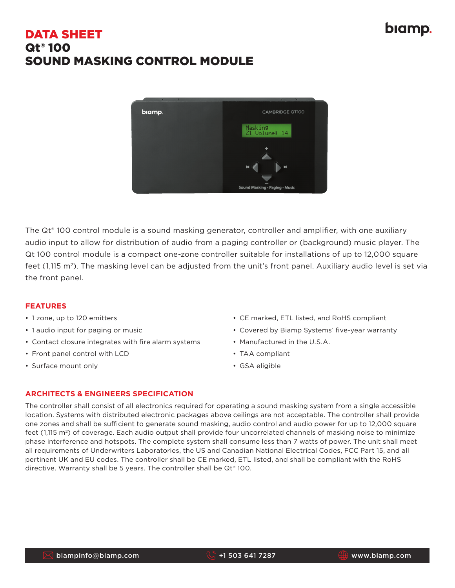# biamp.

## DATA SHEET Qt® 100 SOUND MASKING CONTROL MODULE



The Qt® 100 control module is a sound masking generator, controller and amplifier, with one auxiliary audio input to allow for distribution of audio from a paging controller or (background) music player. The Qt 100 control module is a compact one-zone controller suitable for installations of up to 12,000 square feet (1,115 m<sup>2</sup>). The masking level can be adjusted from the unit's front panel. Auxiliary audio level is set via the front panel.

#### **FEATURES**

- 1 zone, up to 120 emitters
- 1 audio input for paging or music
- Contact closure integrates with fire alarm systems
- Front panel control with LCD
- Surface mount only
- CE marked, ETL listed, and RoHS compliant
- Covered by Biamp Systems' five-year warranty
- Manufactured in the U.S.A.
- TAA compliant
- GSA eligible

#### **ARCHITECTS & ENGINEERS SPECIFICATION**

The controller shall consist of all electronics required for operating a sound masking system from a single accessible location. Systems with distributed electronic packages above ceilings are not acceptable. The controller shall provide one zones and shall be sufficient to generate sound masking, audio control and audio power for up to 12,000 square feet (1,115 m<sup>2</sup>) of coverage. Each audio output shall provide four uncorrelated channels of masking noise to minimize phase interference and hotspots. The complete system shall consume less than 7 watts of power. The unit shall meet all requirements of Underwriters Laboratories, the US and Canadian National Electrical Codes, FCC Part 15, and all pertinent UK and EU codes. The controller shall be CE marked, ETL listed, and shall be compliant with the RoHS directive. Warranty shall be 5 years. The controller shall be  $\mathsf{Qt}^*$  100.